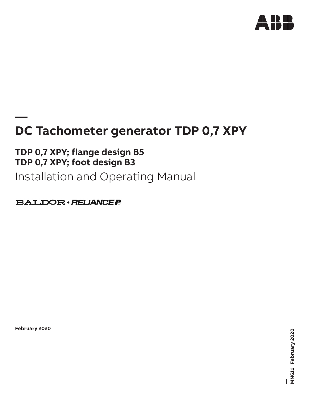

## **— DC Tachometer generator TDP 0,7 XPY**

## **TDP 0,7 XPY; flange design B5 TDP 0,7 XPY; foot design B3**

Installation and Operating Manual

**BALDOR** · RELIANCE F

**February 2020**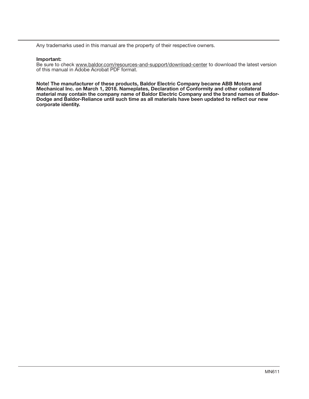Any trademarks used in this manual are the property of their respective owners.

### Important:

Be sure to check www.baldor.com/resources-and-support/download-center to download the latest version of this manual in Adobe Acrobat PDF format.

Note! The manufacturer of these products, Baldor Electric Company became ABB Motors and Mechanical Inc. on March 1, 2018. Nameplates, Declaration of Conformity and other collateral material may contain the company name of Baldor Electric Company and the brand names of Baldor-Dodge and Baldor-Reliance until such time as all materials have been updated to reflect our new corporate identity.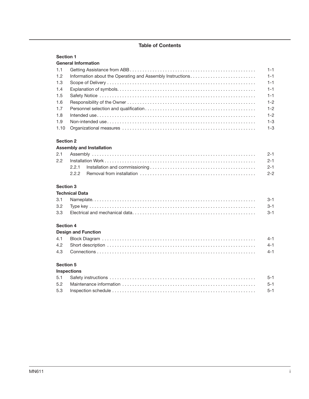## Table of Contents

## Section 1

## General Information

|     | $1 - 1$ |
|-----|---------|
| 1.2 |         |
| 1.3 |         |
| 1.4 |         |
|     |         |
| 1.6 |         |
| 1.7 | $1 - 2$ |
| 1.8 | $1 - 2$ |
| 1.9 |         |
|     |         |

## Section 2

## Assembly and Installation

## Section 3

## Technical Data

### Section 4

| ---------                  |  |  |  |  |  |
|----------------------------|--|--|--|--|--|
| <b>Design and Function</b> |  |  |  |  |  |
|                            |  |  |  |  |  |
|                            |  |  |  |  |  |
|                            |  |  |  |  |  |
|                            |  |  |  |  |  |

## Section 5

## Inspections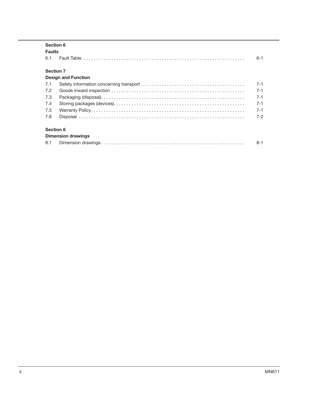| <b>Faults</b>    |                            |         |
|------------------|----------------------------|---------|
| 6.1              |                            | $6 - 1$ |
| <b>Section 7</b> |                            |         |
|                  | <b>Design and Function</b> |         |
| 7.1              |                            | $7 - 1$ |
| 7.2              |                            | $7 - 1$ |
| 7.3              |                            | $7 - 1$ |
| 7.4              |                            | $7 - 1$ |
| 7.5              |                            | $7 - 1$ |
| 7.6              |                            | $7-2$   |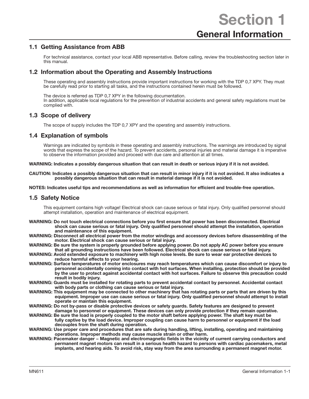## 1.1 Getting Assistance from ABB

For technical assistance, contact your local ABB representative. Before calling, review the troubleshooting section later in this manual.

## 1.2 Information about the Operating and Assembly Instructions

These operating and assembly instructions provide important instructions for working with the TDP 0,7 XPY. They must be carefully read prior to starting all tasks, and the instructions contained herein must be followed.

The device is referred as TDP 0,7 XPY in the following documentation. In addition, applicable local regulations for the prevention of industrial accidents and general safety regulations must be complied with.

## 1.3 Scope of delivery

The scope of supply includes the TDP 0,7 XPY and the operating and assembly instructions.

## 1.4 Explanation of symbols

Warnings are indicated by symbols in these operating and assembly instructions. The warnings are introduced by signal words that express the scope of the hazard. To prevent accidents, personal injuries and material damage it is imperative to observe the information provided and proceed with due care and attention at all times.

#### WARNING: Indicates a possibly dangerous situation that can result in death or serious injury if it is not avoided.

CAUTION: Indicates a possibly dangerous situation that can result in minor injury if it is not avoided. It also indicates a possibly dangerous situation that can result in material damage if it is not avoided.

NOTES: Indicates useful tips and recommendations as well as information for efficient and trouble-free operation.

## 1.5 Safety Notice

This equipment contains high voltage! Electrical shock can cause serious or fatal injury. Only qualified personnel should attempt installation, operation and maintenance of electrical equipment.

- WARNING: Do not touch electrical connections before you first ensure that power has been disconnected. Electrical shock can cause serious or fatal injury. Only qualified personnel should attempt the installation, operation and maintenance of this equipment.
- WARNING: Disconnect all electrical power from the motor windings and accessory devices before disassembling of the motor. Electrical shock can cause serious or fatal injury.
- WARNING: Be sure the system is properly grounded before applying power. Do not apply AC power before you ensure that all grounding instructions have been followed. Electrical shock can cause serious or fatal injury.
- WARNING: Avoid extended exposure to machinery with high noise levels. Be sure to wear ear protective devices to reduce harmful effects to your hearing.
- WARNING: Surface temperatures of motor enclosures may reach temperatures which can cause discomfort or injury to personnel accidentally coming into contact with hot surfaces. When installing, protection should be provided by the user to protect against accidental contact with hot surfaces. Failure to observe this precaution could result in bodily injury.
- WARNING: Guards must be installed for rotating parts to prevent accidental contact by personnel. Accidental contact with body parts or clothing can cause serious or fatal injury.
- WARNING: This equipment may be connected to other machinery that has rotating parts or parts that are driven by this equipment. Improper use can cause serious or fatal injury. Only qualified personnel should attempt to install operate or maintain this equipment.

WARNING: Do not by-pass or disable protective devices or safety guards. Safety features are designed to prevent damage to personnel or equipment. These devices can only provide protection if they remain operative.

- WARNING: Be sure the load is properly coupled to the motor shaft before applying power. The shaft key must be fully captive by the load device. Improper coupling can cause harm to personnel or equipment if the load decouples from the shaft during operation.
- WARNING: Use proper care and procedures that are safe during handling, lifting, installing, operating and maintaining operations. Improper methods may cause muscle strain or other harm.
- WARNING: Pacemaker danger Magnetic and electromagnetic fields in the vicinity of current carrying conductors and permanent magnet motors can result in a serious health hazard to persons with cardiac pacemakers, metal implants, and hearing aids. To avoid risk, stay way from the area surrounding a permanent magnet motor.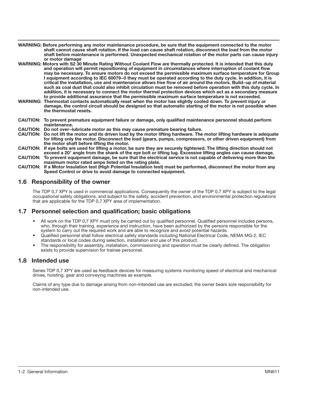- WARNING: Before performing any motor maintenance procedure, be sure that the equipment connected to the motor shaft cannot cause shaft rotation. If the load can cause shaft rotation, disconnect the load from the motor shaft before maintenance is performed. Unexpected mechanical rotation of the motor parts can cause injury or motor damage
- WARNING: Motors with S2 30 Minute Rating Without Coolant Flow are thermally protected. It is intended that this duty and operation will permit repositioning of equipment in circumstances where interruption of coolant flow may be necessary. To ensure motors do not exceed the permissible maximum surface temperature for Group I equipment according to IEC 60079−0 they must be operated according to the duty cycle. In addition, it is critical the installation, use and maintenance allows free flow of air around the motors. Build−up of material such as coal dust that could also inhibit circulation must be removed before operation with this duty cycle. In addition, it is necessary to connect the motor thermal protection devices which act as a secondary measure to provide additional assurance that the permissible maximum surface temperature is not exceeded.
- WARNING: Thermostat contacts automatically reset when the motor has slightly cooled down. To prevent injury or damage, the control circuit should be designed so that automatic starting of the motor is not possible when the thermostat resets.
- CAUTION: To prevent premature equipment failure or damage, only qualified maintenance personnel should perform maintenance.
- CAUTION: Do not over−lubricate motor as this may cause premature bearing failure.
- CAUTION: Do not lift the motor and its driven load by the motor lifting hardware. The motor lifting hardware is adequate for lifting only the motor. Disconnect the load (gears, pumps, compressors, or other driven equipment) from the motor shaft before lifting the motor.
- CAUTION: If eye bolts are used for lifting a motor, be sure they are securely tightened. The lifting direction should not exceed a 20° angle from the shank of the eye bolt or lifting lug. Excessive lifting angles can cause damage.
- CAUTION: To prevent equipment damage, be sure that the electrical service is not capable of delivering more than the maximum motor rated amps listed on the rating plate.
- CAUTION: If a Motor Insulation test (High Potential Insulation test) must be performed, disconnect the motor from any Speed Control or drive to avoid damage to connected equipment.

## 1.6 Responsibility of the owner

The TDP 0,7 XPY is used in commercial applications. Consequently the owner of the TDP 0,7 XPY is subject to the legal occupational safety obligations, and subject to the safety, accident prevention, and environmental protection regulations that are applicable for the TDP 0,7 XPY area of implementation.

## 1.7 Personnel selection and qualification; basic obligations

- All work on the TDP 0,7 XPY must only be carried out by qualified personnel. Qualified personnel includes persons, who, through their training, experience and instruction, have been authorized by the persons responsible for the system to carry out the required work and are able to recognize and avoid potential hazards.
- Qualified personnel shall follow electrical safety standards including National Electrical Code, NEMA MG-2, IEC standards or local codes during selection, installation and use of this product.
- The responsibility for assembly, installation, commissioning and operation must be clearly defined. The obligation exists to provide supervision for trainee personnel.

## 1.8 Intended use

Series TDP 0,7 XPY are used as feedback devices for measuring systems monitoring speed of electrical and mechanical drives, hoisting, gear and conveying machines as example.

Claims of any type due to damage arising from non-intended use are excluded; the owner bears sole responsibility for non-intended use.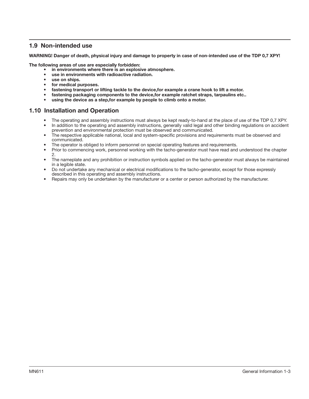## 1.9 Non-intended use

WARNING! Danger of death, physical injury and damage to property in case of non-intended use of the TDP 0,7 XPY!

The following areas of use are especially forbidden:

- in environments where there is an explosive atmosphere.
- use in environments with radioactive radiation.
- use on ships.
- for medical purposes.
- fastening transport or lifting tackle to the device,for example a crane hook to lift a motor.
- fastening packaging components to the device,for example ratchet straps, tarpaulins etc..
- using the device as a step, for example by people to climb onto a motor.

## 1.10 Installation and Operation

- The operating and assembly instructions must always be kept ready-to-hand at the place of use of the TDP 0,7 XPY.
- In addition to the operating and assembly instructions, generally valid legal and other binding regulations on accident prevention and environmental protection must be observed and communicated.
- The respective applicable national, local and system-specific provisions and requirements must be observed and communicated.
- The operator is obliged to inform personnel on special operating features and requirements.
- Prior to commencing work, personnel working with the tacho-generator must have read and understood the chapter 2.
- The nameplate and any prohibition or instruction symbols applied on the tacho-generator must always be maintained in a legible state.
- Do not undertake any mechanical or electrical modifications to the tacho-generator, except for those expressly described in this operating and assembly instructions.
- Repairs may only be undertaken by the manufacturer or a center or person authorized by the manufacturer.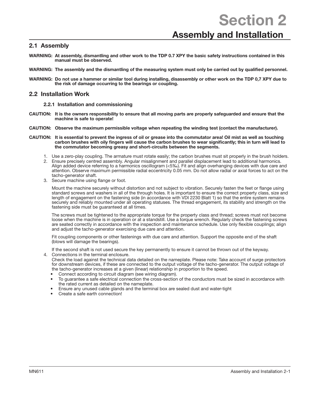Section 2

## Assembly and Installation

## 2.1 Assembly

- WARNING: At assembly, dismantling and other work to the TDP 0.7 XPY the basic safety instructions contained in this manual must be observed.
- WARNING: The assembly and the dismantling of the measuring system must only be carried out by qualified personnel.
- WARNING: Do not use a hammer or similar tool during installing, disassembly or other work on the TDP 0,7 XPY due to the risk of damage occurring to the bearings or coupling.

## 2.2 Installation Work

#### 2.2.1 Installation and commissioning

- CAUTION: It is the owners responsibility to ensure that all moving parts are properly safeguarded and ensure that the machine is safe to operate!
- CAUTION: Observe the maximum permissible voltage when repeating the winding test (contact the manufacturer).
- CAUTION: It is essential to prevent the ingress of oil or grease into the commutator area! Oil mist as well as touching carbon brushes with oily fingers will cause the carbon brushes to wear significantly; this in turn will lead to the commutator becoming greasy and short-circuits between the segments.
	- 1. Use a zero-play coupling. The armature must rotate easily; the carbon brushes must sit properly in the brush holders.
	- 2. Ensure precisely centred assembly. Angular misalignment and parallel displacement lead to additional harmonics. Align added device referring to a harmonics oscillogram (<5‰). Fit and align overhanging devices with due care and attention. Observe maximum permissible radial eccentricity 0.05 mm. Do not allow radial or axial forces to act on the tacho-generator shaft.
	- 3. Secure machine using flange or foot.

Mount the machine securely without distortion and not subject to vibration. Securely fasten the feet or flange using standard screws and washers in all of the through holes. It is important to ensure the correct property class, size and length of engagement on the fastening side (in accordance with VDI 2230 Blatt 1) so that the entire system remains securely and reliably mounted under all operating statuses. The thread engagement, its stability and strength on the fastening side must be guaranteed at all times.

The screws must be tightened to the appropriate torque for the property class and thread; screws must not become loose when the machine is in operation or at a standstill. Use a torque wrench. Regularly check the fastening screws are seated correctly in accordance with the inspection and maintenance schedule. Use only flexible couplings; align and adjust the tacho-generator exercising due care and attention.

Fit coupling components or other fastenings with due care and attention. Support the opposite end of the shaft (blows will damage the bearings).

If the second shaft is not used secure the key permanently to ensure it cannot be thrown out of the keyway.

- 4. Connections in the terminal enclosure. Check the load against the technical data detailed on the nameplate. Please note: Take account of surge protectors for downstream devices, if these are connected to the output voltage of the tacho-generator. The output voltage of the tacho-generator increases at a given (linear) relationship in proportion to the speed.
	- Connect according to circuit diagram (see wiring diagram).
	- To guarantee a safe electrical connection the cross-section of the conductors must be sized in accordance with the rated current as detailed on the nameplate.
	- Ensure any unused cable glands and the terminal box are sealed dust and water-tight
	- Create a safe earth connection!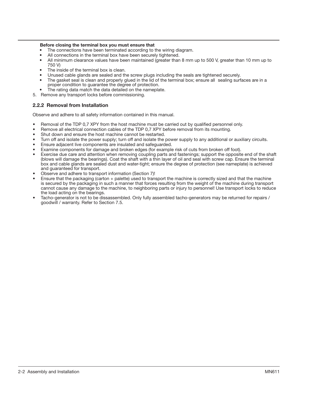#### Before closing the terminal box you must ensure that

- The connections have been terminated according to the wiring diagram.
- All connections in the terminal box have been securely tightened.
- All minimum clearance values have been maintained (greater than 8 mm up to 500 V, greater than 10 mm up to 750 V)
- The inside of the terminal box is clean.
- Unused cable glands are sealed and the screw plugs including the seals are tightened securely.
- The gasket seal is clean and properly glued in the lid of the terminal box; ensure all sealing surfaces are in a proper condition to guarantee the degree of protection.
- The rating data match the data detailed on the nameplate.
- 5. Remove any transport locks before commissioning.

## 2.2.2 Removal from Installation

Observe and adhere to all safety information contained in this manual.

- Removal of the TDP 0,7 XPY from the host machine must be carried out by qualified personnel only.
- Remove all electrical connection cables of the TDP 0,7 XPY before removal from its mounting.
- Shut down and ensure the host machine cannot be restarted.
- Turn off and isolate the power supply; turn off and isolate the power supply to any additional or auxiliary circuits.
- Ensure adjacent live components are insulated and safeguarded.
- Examine components for damage and broken edges (for example risk of cuts from broken off foot).
- Exercise due care and attention when removing coupling parts and fastenings; support the opposite end of the shaft (blows will damage the bearings). Coat the shaft with a thin layer of oil and seal with screw cap. Ensure the terminal box and cable glands are sealed dust and water-tight; ensure the degree of protection (see nameplate) is achieved and guaranteed for transport.
- Observe and adhere to transport information (Section 7)!
- Ensure that the packaging (carton + palette) used to transport the machine is correctly sized and that the machine is secured by the packaging in such a manner that forces resulting from the weight of the machine during transport cannot cause any damage to the machine, to neighboring parts or injury to personnel! Use transport locks to reduce the load acting on the bearings.
- Tacho-generator is not to be dissassembled. Only fully assembled tacho-generators may be returned for repairs / goodwill / warranty. Refer to Section 7.5.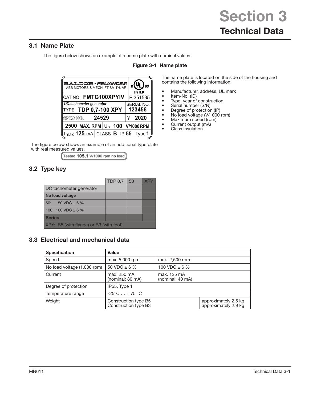## 3.1 Name Plate

The figure below shows an example of a name plate with nominal values.

| <b>BALDOR</b> · RELIANCE FI<br>ABB MOTORS & MECH, FT SMITH, AR |  |  | $_{\rm c}$ (VL) $_{\rm us}$<br><b>LISTED</b> |  |
|----------------------------------------------------------------|--|--|----------------------------------------------|--|
| ∥CAT NO. FMTG100XPYIV                                          |  |  | E 351535                                     |  |
| DC-tachometer generator<br>TYPE TDP 0,7-100 XPY                |  |  | SERIAL NO.<br>123456                         |  |
| SPEC NO. 24529                                                 |  |  | 2020                                         |  |
| 2500 MAX. RPM $ U_0$ 100 V/1000 RPM                            |  |  |                                              |  |
| $\parallel$ Imax 125 mA CLASS B IP 55 Type 1 $\parallel$       |  |  |                                              |  |

## Figure 3-1 Name plate

The name plate is located on the side of the housing and contains the following information:

- Manufacturer, address, UL mark<br>• Item-No. (ID)
- Item-No. (ID)
- Type, year of construction
- Serial number (S/N)<br>• Degree of protection
- Degree of protection (IP)
- No load voltage (V/1000 rpm)
- Maximum speed (rpm)
- Current output (mA)
- Class insulation

The figure below shows an example of an additional type plate with real measured values.

 $($ Tested 105,1 V/1000 rpm no load $)$ 

## 3.2 Type key

|                                         | TDP $0.7$   50 |  | XP' |
|-----------------------------------------|----------------|--|-----|
| DC tachometer generator                 |                |  |     |
| No load voltage                         |                |  |     |
| 50: $50 \text{ VDC} \pm 6 \%$           |                |  |     |
| 100: 100 VDC $\pm$ 6 %                  |                |  |     |
| <b>Series</b>                           |                |  |     |
| XPY: B5 (with flange) or B3 (with foot) |                |  |     |

## 3.3 Electrical and mechanical data

| <b>Specification</b>        | Value                                        |                                 |                                              |  |  |
|-----------------------------|----------------------------------------------|---------------------------------|----------------------------------------------|--|--|
| Speed                       | max. 5,000 rpm                               | max. 2,500 rpm                  |                                              |  |  |
| No load voltage (1,000 rpm) | 50 VDC $\pm$ 6 %                             | 100 VDC $\pm$ 6 %               |                                              |  |  |
| Current                     | max. 250 mA<br>(nominal: 80 mA)              | max. 125 mA<br>(nominal: 40 mA) |                                              |  |  |
| Degree of protection        | IP55, Type 1                                 |                                 |                                              |  |  |
| Temperature range           | $-25^{\circ}$ C $ + 75^{\circ}$ C            |                                 |                                              |  |  |
| Weight                      | Construction type B5<br>Construction type B3 |                                 | approximately 2.5 kg<br>approximately 2.9 kg |  |  |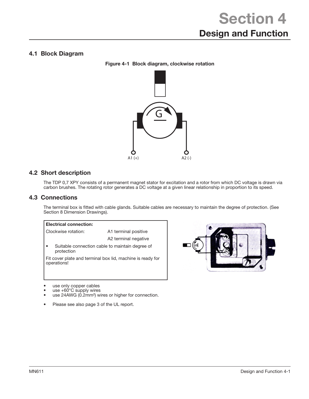## 4.1 Block Diagram

Figure 4-1 Block diagram, clockwise rotation



## 4.2 Short description

The TDP 0,7 XPY consists of a permanent magnet stator for excitation and a rotor from which DC voltage is drawn via carbon brushes. The rotating rotor generates a DC voltage at a given linear relationship in proportion to its speed.

## 4.3 Connections

The terminal box is fitted with cable glands. Suitable cables are necessary to maintain the degree of protection. (See Section 8 Dimension Drawings).

## Electrical connection: Clockwise rotation: A1 terminal positive A2 terminal negative • Suitable connection cable to maintain degree of protection Fit cover plate and terminal box lid, machine is ready for operations!



- use only copper cables
- use  $+60^{\circ}$ C supply wires use 24AWG (0.2mm<sup>2</sup>) wires or higher for connection.
- Please see also page 3 of the UL report.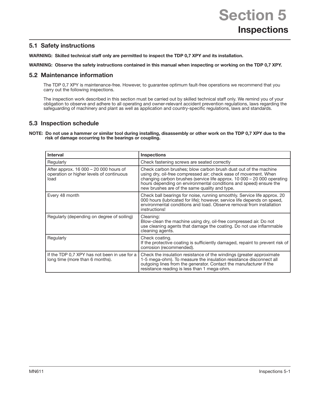## 5.1 Safety instructions

WARNING: Skilled technical staff only are permitted to inspect the TDP 0,7 XPY and its installation.

WARNING: Observe the safety instructions contained in this manual when inspecting or working on the TDP 0,7 XPY.

## 5.2 Maintenance information

The TDP 0,7 XPY is maintenance-free. However, to guarantee optimum fault-free operations we recommend that you carry out the following inspections.

The inspection work described in this section must be carried out by skilled technical staff only. We remind you of your obligation to observe and adhere to all operating and owner-relevant accident prevention regulations, laws regarding the safeguarding of machinery and plant as well as application and country-specific regulations, laws and standards.

## 5.3 Inspection schedule

NOTE: Do not use a hammer or similar tool during installing, disassembly or other work on the TDP 0,7 XPY due to the risk of damage occurring to the bearings or coupling.

| <b>Interval</b>                                                                            | <b>Inspections</b>                                                                                                                                                                                                                                                                                                                   |
|--------------------------------------------------------------------------------------------|--------------------------------------------------------------------------------------------------------------------------------------------------------------------------------------------------------------------------------------------------------------------------------------------------------------------------------------|
| Regularly                                                                                  | Check fastening screws are seated correctly                                                                                                                                                                                                                                                                                          |
| After approx. 16 000 - 20 000 hours of<br>operation or higher levels of continuous<br>load | Check carbon brushes; blow carbon brush dust out of the machine<br>using dry, oil-free compressed air; check ease of movement. When<br>changing carbon brushes (service life approx. 10 000 - 20 000 operating<br>hours depending on environmental conditions and speed) ensure the<br>new brushes are of the same quality and type. |
| Every 48 month                                                                             | Check ball bearings for noise, running smoothly. Service life approx. 20<br>000 hours (lubricated for life); however, service life depends on speed,<br>environmental conditions and load. Observe removal from installation<br>instructions!                                                                                        |
| Regularly (depending on degree of soiling)                                                 | Cleaning:<br>Blow-clean the machine using dry, oil-free compressed air. Do not<br>use cleaning agents that damage the coating. Do not use inflammable<br>cleaning agents.                                                                                                                                                            |
| Regularly                                                                                  | Check coating.<br>If the protective coating is sufficiently damaged, repaint to prevent risk of<br>corrosion (recommended).                                                                                                                                                                                                          |
| If the TDP 0.7 XPY has not been in use for a<br>long time (more than 6 months).            | Check the insulation resistance of the windings (greater approximate<br>1-5 mega-ohm). To measure the insulation resistance disconnect all<br>outgoing lines from the generator. Contact the manufacturer if the<br>resistance reading is less than 1 mega-ohm.                                                                      |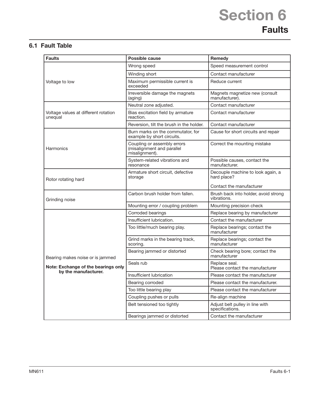# Section 6 **Faults**

## 6.1 Fault Table

| <b>Faults</b>                                   | Possible cause                                                              | Remedy                                              |  |  |
|-------------------------------------------------|-----------------------------------------------------------------------------|-----------------------------------------------------|--|--|
|                                                 | Wrong speed                                                                 | Speed measurement control                           |  |  |
|                                                 | Winding short                                                               | Contact manufacturer                                |  |  |
| Voltage to low                                  | Maximum permissible current is<br>exceeded                                  | Reduce current                                      |  |  |
|                                                 | Irreversible damage the magnets<br>(aging)                                  | Magnets magnetize new (consult<br>manufacturer).    |  |  |
|                                                 | Neutral zone adjusted.                                                      | Contact manufacturer                                |  |  |
| Voltage values at different rotation<br>unequal | Bias excitation field by armature<br>reaction.                              | Contact manufacturer                                |  |  |
|                                                 | Reversion, tilt the brush in the holder.                                    | Contact manufacturer                                |  |  |
|                                                 | Burn marks on the commutator, for<br>example by short circuits.             | Cause for short circuits and repair                 |  |  |
| Harmonics                                       | Coupling or assembly errors<br>(misalignment and parallel<br>misalignment). | Correct the mounting mistake                        |  |  |
|                                                 | System-related vibrations and<br>resonance                                  | Possible causes, contact the<br>manufacturer.       |  |  |
| Rotor rotating hard                             | Armature short circuit, defective<br>storage                                | Decouple machine to look again, a<br>hard place?    |  |  |
|                                                 |                                                                             | Contact the manufacturer                            |  |  |
| Grinding noise                                  | Carbon brush holder from fallen.                                            | Brush back into holder, avoid strong<br>vibrations. |  |  |
|                                                 | Mounting error / coupling problem                                           | Mounting precision check                            |  |  |
|                                                 | Corroded bearings                                                           | Replace bearing by manufacturer                     |  |  |
|                                                 | Insufficient lubrication.                                                   | Contact the manufacturer                            |  |  |
|                                                 | Too little/much bearing play.                                               | Replace bearings; contact the<br>manufacturer       |  |  |
|                                                 | Grind marks in the bearing track,<br>scoring.                               | Replace bearings; contact the<br>manufacturer       |  |  |
| Bearing makes noise or is jammed                | Bearing jammed or distorted                                                 | Check bearing bore; contact the<br>manufacturer     |  |  |
| Note: Exchange of the bearings only             | Seals rub                                                                   | Replace seal.<br>Please contact the manufacturer    |  |  |
| by the manufacturer.                            | Insufficient lubrication                                                    | Please contact the manufacturer                     |  |  |
|                                                 | Bearing corroded                                                            | Please contact the manufacturer.                    |  |  |
|                                                 | Too little bearing play                                                     | Please contact the manufacturer                     |  |  |
|                                                 | Coupling pushes or pulls                                                    | Re-align machine                                    |  |  |
|                                                 | Belt tensioned too tightly                                                  | Adjust belt pulley in line with<br>specifications.  |  |  |
|                                                 | Bearings jammed or distorted                                                | Contact the manufacturer                            |  |  |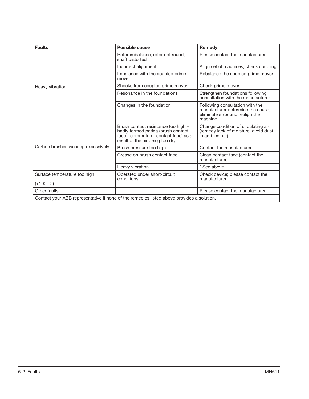| <b>Faults</b>                             | Possible cause                                                                                                                                        | <b>Remedy</b>                                                                                                       |
|-------------------------------------------|-------------------------------------------------------------------------------------------------------------------------------------------------------|---------------------------------------------------------------------------------------------------------------------|
|                                           | Rotor imbalance, rotor not round,<br>shaft distorted                                                                                                  | Please contact the manufacturer                                                                                     |
|                                           | Incorrect alignment                                                                                                                                   | Align set of machines; check coupling                                                                               |
|                                           | Imbalance with the coupled prime<br>mover                                                                                                             | Rebalance the coupled prime mover                                                                                   |
| Heavy vibration                           | Shocks from coupled prime mover                                                                                                                       | Check prime mover                                                                                                   |
|                                           | Resonance in the foundations                                                                                                                          | Strengthen foundations following<br>consultation with the manufacturer                                              |
|                                           | Changes in the foundation                                                                                                                             | Following consultation with the<br>manufacturer determine the cause,<br>eliminate error and realign the<br>machine. |
|                                           | Brush contact resistance too high -<br>badly formed patina (brush contact<br>face - commutator contact face) as a<br>result of the air being too dry. | Change condition of circulating air<br>(remedy lack of moisture; avoid dust<br>in ambient air).                     |
| Carbon brushes wearing excessively        | Brush pressure too high                                                                                                                               | Contact the manufacturer.                                                                                           |
|                                           | Grease on brush contact face                                                                                                                          | Clean contact face (contact the<br>manufacturer)                                                                    |
|                                           | Heavy vibration                                                                                                                                       | * See above.                                                                                                        |
| Surface temperature too high<br>(>100 °C) | Operated under short-circuit<br>conditions                                                                                                            | Check device; please contact the<br>manufacturer.                                                                   |
| Other faults                              |                                                                                                                                                       | Please contact the manufacturer.                                                                                    |
|                                           | Contact your ABB representative if none of the remedies listed above provides a solution.                                                             |                                                                                                                     |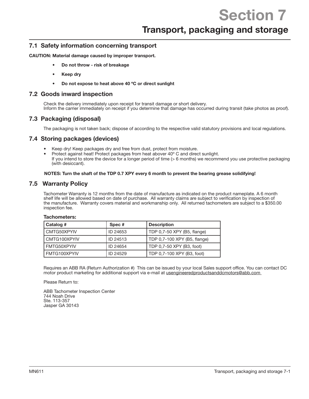## Transport, packaging and storage

## 7.1 Safety information concerning transport

CAUTION: Material damage caused by improper transport.

- Do not throw risk of breakage
- Keep dry
- Do not expose to heat above 40 ºC or direct sunlight

## 7.2 Goods inward inspection

Check the delivery immediately upon receipt for transit damage or short delivery. Inform the carrier immediately on receipt if you determine that damage has occurred during transit (take photos as proof).

## 7.3 Packaging (disposal)

The packaging is not taken back; dispose of according to the respective valid statutory provisions and local regulations.

## 7.4 Storing packages (devices)

- Keep dry! Keep packages dry and free from dust, protect from moisture.
- Protect against heat! Protect packages from heat abover 40º C and direct sunlight. If you intend to store the device for a longer period of time (> 6 months) we recommend you use protective packaging (with desiccant).

#### NOTES: Turn the shaft of the TDP 0.7 XPY every 6 month to prevent the bearing grease solidifying!

## 7.5 Warranty Policy

Tachometers:

Tachometer Warranty is 12 months from the date of manufacture as indicated on the product nameplate. A 6 month shelf life will be allowed based on date of purchase. All warranty claims are subject to verification by inspection of the manufacture. Warranty covers material and workmanship only. All returned tachometers are subject to a \$350.00 inspection fee.

| Catalog #    | Spec #   | <b>Description</b>           |
|--------------|----------|------------------------------|
| CMTG50XPYIV  | ID 24653 | TDP 0,7-50 XPY (B5, flange)  |
| CMTG100XPYIV | ID 24513 | TDP 0,7-100 XPY (B5, flange) |
| FMTG50XPYIV  | ID 24654 | TDP 0,7-50 XPY (B3, foot)    |
| FMTG100XPYIV | ID 24529 | TDP 0,7-100 XPY (B3, foot)   |

Requires an ABB RA (Return Authorization #) This can be issued by your local Sales support office. You can contact DC motor product marketing for additional support via e-mail at usengineeredproductsanddcmotors@abb.com

Please Return to:

ABB Tachometer Inspection Center 744 Noah Drive Ste. 113-357 Jasper GA 30143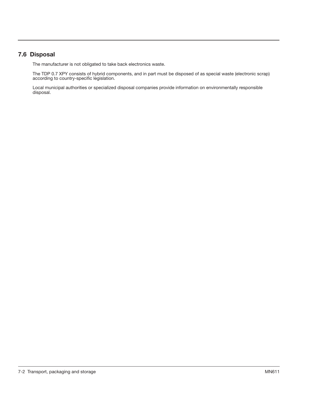## 7.6 Disposal

The manufacturer is not obligated to take back electronics waste.

The TDP 0.7 XPY consists of hybrid components, and in part must be disposed of as special waste (electronic scrap) according to country-specific legislation.

Local municipal authorities or specialized disposal companies provide information on environmentally responsible disposal.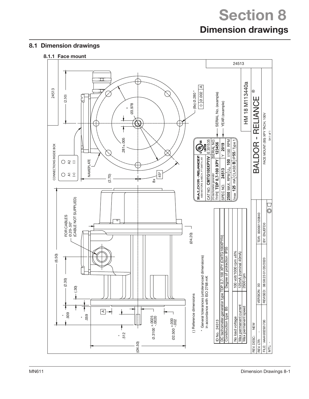## Section 8 Dimension drawings

## 8.1 Dimension drawings

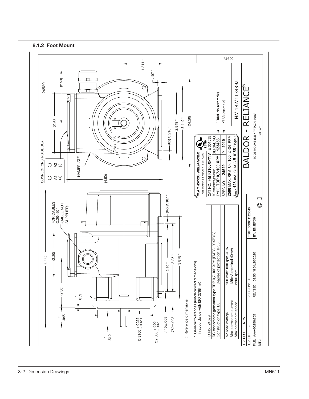

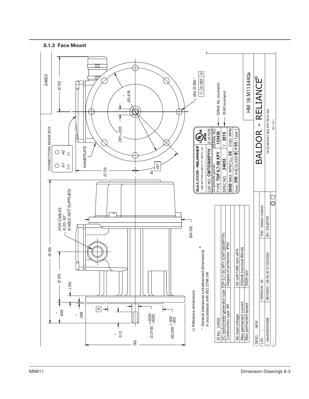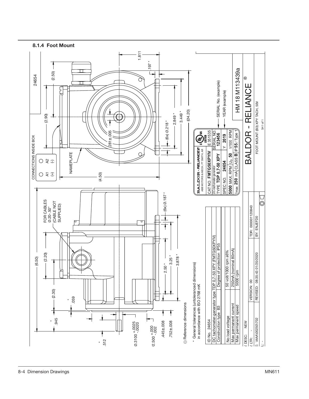